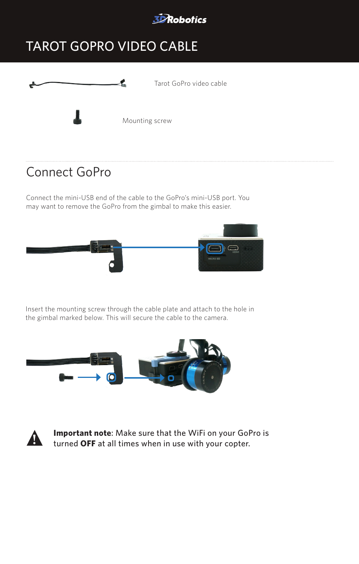

## TAROT GOPRO VIDEO CABLE



#### Connect GoPro

Connect the mini-USB end of the cable to the GoPro's mini-USB port. You may want to remove the GoPro from the gimbal to make this easier.



Insert the mounting screw through the cable plate and attach to the hole in the gimbal marked below. This will secure the cable to the camera.





**! Important note**: Make sure that the WiFi on your GoPro is turned **OFF** at all times when in use with your copter.